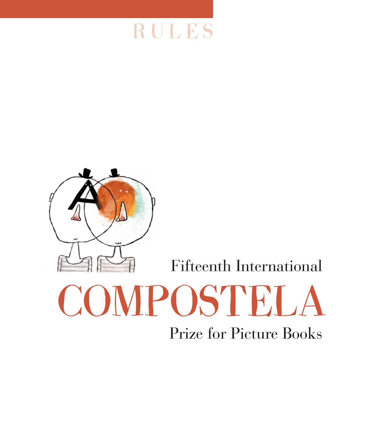



Fifteenth International

## COMPOSTELA Prize for Picture Books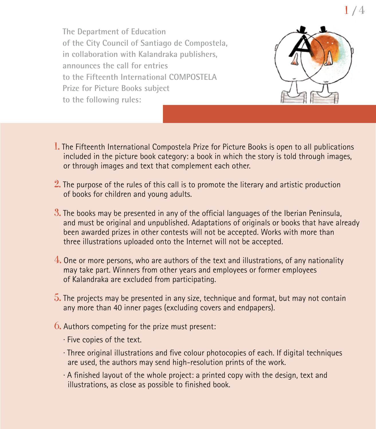**The Department of Education of the City Council of Santiago de Compostela, in collaboration with Kalandraka publishers, announces the call for entries to the Fifteenth International COMPOSTELA Prize for Picture Books subject to the following rules:**



- 1. The Fifteenth International Compostela Prize for Picture Books is open to all publications included in the picture book category: a book in which the story is told through images, or through images and text that complement each other.
- $2$ . The purpose of the rules of this call is to promote the literary and artistic production of books for children and young adults.
- $3.$  The books may be presented in any of the official languages of the Iberian Peninsula, and must be original and unpublished. Adaptations of originals or books that have already been awarded prizes in other contests will not be accepted. Works with more than three illustrations uploaded onto the Internet will not be accepted.
- $4.$  One or more persons, who are authors of the text and illustrations, of any nationality may take part. Winners from other years and employees or former employees of Kalandraka are excluded from participating.
- $5.$  The projects may be presented in any size, technique and format, but may not contain any more than 40 inner pages (excluding covers and endpapers).
- $6.$  Authors competing for the prize must present:
	- · Five copies of the text.
	- · Three original illustrations and five colour photocopies of each. If digital techniques are used, the authors may send high-resolution prints of the work.
	- · A finished layout of the whole project: a printed copy with the design, text and illustrations, as close as possible to finished book.

1 / 4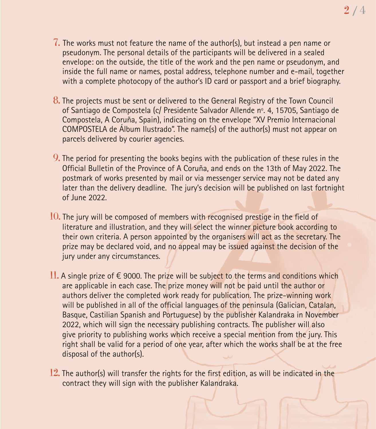- $7.$  The works must not feature the name of the author(s), but instead a pen name or pseudonym. The personal details of the participants will be delivered in a sealed envelope: on the outside, the title of the work and the pen name or pseudonym, and inside the full name or names, postal address, telephone number and e-mail, together with a complete photocopy of the author's ID card or passport and a brief biography.
- $8.$  The projects must be sent or delivered to the General Registry of the Town Council of Santiago de Compostela (c/ Presidente Salvador Allende nº. 4, 15705, Santiago de Compostela, A Coruña, Spain), indicating on the envelope "XV Premio Internacional COMPOSTELA de Álbum Ilustrado". The name(s) of the author(s) must not appear on parcels delivered by courier agencies.
- $9.$  The period for presenting the books begins with the publication of these rules in the Official Bulletin of the Province of A Coruña, and ends on the 13th of May 2022. The postmark of works presented by mail or via messenger service may not be dated any later than the delivery deadline. The jury's decision will be published on last fortnight of June 2022.
- $10$ . The jury will be composed of members with recognised prestige in the field of literature and illustration, and they will select the winner picture book according to their own criteria. A person appointed by the organisers will act as the secretary. The prize may be declared void, and no appeal may be issued against the decision of the jury under any circumstances.
- 11. A single prize of  $\epsilon$  9000. The prize will be subject to the terms and conditions which are applicable in each case. The prize money will not be paid until the author or authors deliver the completed work ready for publication. The prize-winning work will be published in all of the official languages of the peninsula (Galician, Catalan, Basque, Castilian Spanish and Portuguese) by the publisher Kalandraka in November 2022, which will sign the necessary publishing contracts. The publisher will also give priority to publishing works which receive a special mention from the jury. This right shall be valid for a period of one year, after which the works shall be at the free disposal of the author(s).
- 12. The author(s) will transfer the rights for the first edition, as will be indicated in the contract they will sign with the publisher Kalandraka.

2 / 4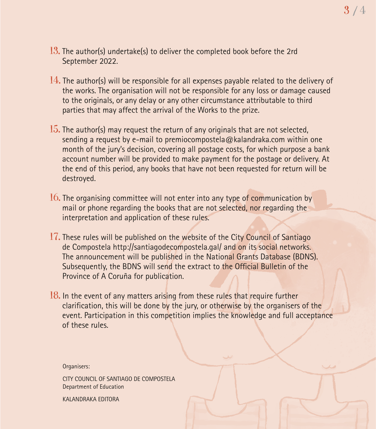- 13. The author(s) undertake(s) to deliver the completed book before the 2rd September 2022.
- $14.$  The author(s) will be responsible for all expenses payable related to the delivery of the works. The organisation will not be responsible for any loss or damage caused to the originals, or any delay or any other circumstance attributable to third parties that may affect the arrival of the Works to the prize.
- $15.$  The author(s) may request the return of any originals that are not selected, sending a request by e-mail to premiocompostela@kalandraka.com within one month of the jury's decision, covering all postage costs, for which purpose a bank account number will be provided to make payment for the postage or delivery. At the end of this period, any books that have not been requested for return will be destroyed.
- 16. The organising committee will not enter into any type of communication by mail or phone regarding the books that are not selected, nor regarding the interpretation and application of these rules.
- 17. These rules will be published on the website of the City Council of Santiago de Compostela http://santiagodecompostela.gal/ and on its social networks. The announcement will be published in the National Grants Database (BDNS). Subsequently, the BDNS will send the extract to the Official Bulletin of the Province of A Coruña for publication.
- $18.$  In the event of any matters arising from these rules that require further clarification, this will be done by the jury, or otherwise by the organisers of the event. Participation in this competition implies the knowledge and full acceptance of these rules.

Organisers:

CITY COUNCIL OF SANTIAGO DE COMPOSTELA Department of Education

KALANDRAKA EDITORA